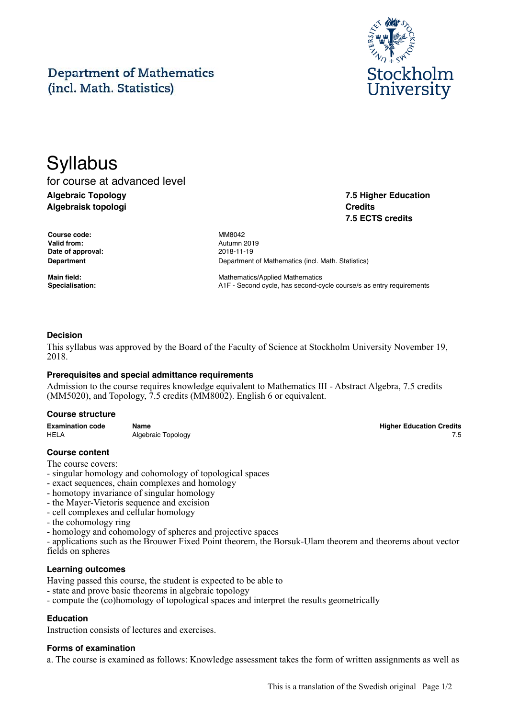#### This is a translation of the Swedish original Page 1/2

# **Department of Mathematics** (incl. Math. Statistics)

# **Syllabus** for course at advanced level **Algebraic Topology Algebraisk topologi**

**Course code:** MM8042 **Valid from:** Autumn 2019 **Date of approval:** 2018-11-19

**Department** Department Department of Mathematics (incl. Math. Statistics)

**Main field:** Mathematics/Applied Mathematics **Specialisation: A1F** - Second cycle, has second-cycle course/s as entry requirements

# **Decision**

This syllabus was approved by the Board of the Faculty of Science at Stockholm University November 19, 2018.

#### **Prerequisites and special admittance requirements**

Admission to the course requires knowledge equivalent to Mathematics III - Abstract Algebra, 7.5 credits (MM5020), and Topology, 7.5 credits (MM8002). English 6 or equivalent.

#### **Course structure**

| <b>Examination code</b> | Name               | <b>Higher Education Credits</b> |
|-------------------------|--------------------|---------------------------------|
| <b>HELA</b>             | Algebraic Topology |                                 |

#### **Course content**

The course covers:

- singular homology and cohomology of topological spaces
- exact sequences, chain complexes and homology
- homotopy invariance of singular homology
- the Mayer-Vietoris sequence and excision
- cell complexes and cellular homology

- the cohomology ring

- homology and cohomology of spheres and projective spaces

- applications such as the Brouwer Fixed Point theorem, the Borsuk-Ulam theorem and theorems about vector fields on spheres

#### **Learning outcomes**

Having passed this course, the student is expected to be able to

- state and prove basic theorems in algebraic topology
- compute the (co)homology of topological spaces and interpret the results geometrically

# **Education**

Instruction consists of lectures and exercises.

# **Forms of examination**

a. The course is examined as follows: Knowledge assessment takes the form of written assignments as well as



**7.5 Higher Education**

**7.5 ECTS credits**

**Credits**

**Higher Education Credits**